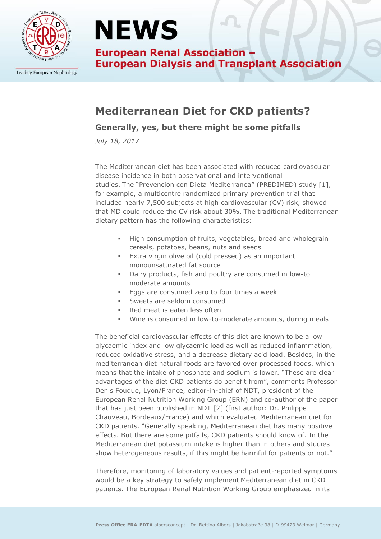

Leading European Nephrology

# **NEWS**

**European Renal Association -European Dialysis and Transplant Association** 

### **Mediterranean Diet for CKD patients?**

#### **Generally, yes, but there might be some pitfalls**

*July 18, 2017*

The Mediterranean diet has been associated with reduced cardiovascular disease incidence in both observational and interventional studies. The "Prevencion con Dieta Mediterranea" (PREDIMED) study [1], for example, a multicentre randomized primary prevention trial that included nearly 7,500 subjects at high cardiovascular (CV) risk, showed that MD could reduce the CV risk about 30%. The traditional Mediterranean dietary pattern has the following characteristics:

- **High consumption of fruits, vegetables, bread and wholegrain** cereals, potatoes, beans, nuts and seeds
- **Extra virgin olive oil (cold pressed) as an important** monounsaturated fat source
- Dairy products, fish and poultry are consumed in low-to moderate amounts
- **Eggs are consumed zero to four times a week**
- **Sweets are seldom consumed**
- Red meat is eaten less often
- Wine is consumed in low-to-moderate amounts, during meals

The beneficial cardiovascular effects of this diet are known to be a low glycaemic index and low glycaemic load as well as reduced inflammation, reduced oxidative stress, and a decrease dietary acid load. Besides, in the mediterranean diet natural foods are favored over processed foods, which means that the intake of phosphate and sodium is lower. "These are clear advantages of the diet CKD patients do benefit from", comments Professor Denis Fouque, Lyon/France, editor-in-chief of NDT, president of the European Renal Nutrition Working Group (ERN) and co-author of the paper that has just been published in NDT [2] (first author: Dr. Philippe Chauveau, Bordeaux/France) and which evaluated Mediterranean diet for CKD patients. "Generally speaking, Mediterranean diet has many positive effects. But there are some pitfalls, CKD patients should know of. In the Mediterranean diet potassium intake is higher than in others and studies show heterogeneous results, if this might be harmful for patients or not."

Therefore, monitoring of laboratory values and patient-reported symptoms would be a key strategy to safely implement Mediterranean diet in CKD patients. The European Renal Nutrition Working Group emphasized in its